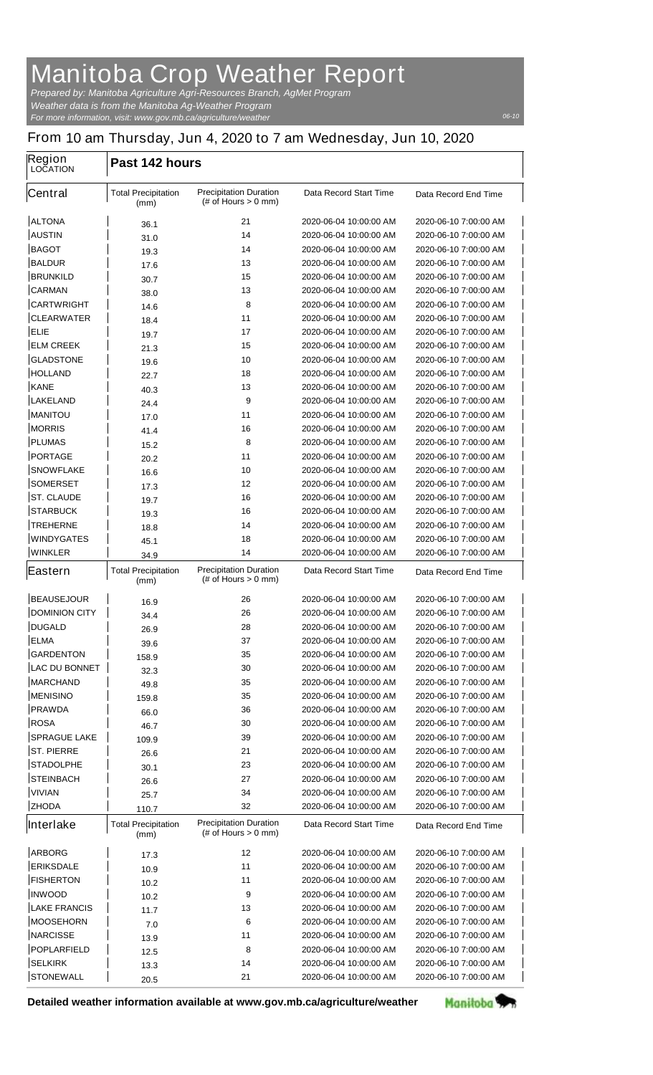## **Manitoba Crop Weather Report**

*For more information, visit: www.gov.mb.ca/agriculture/weather Prepared by: Manitoba Agriculture Agri-Resources Branch, AgMet Program Weather data is from the Manitoba Ag-Weather Program*

## **From 10 am Thursday, Jun 4, 2020 to 7 am Wednesday, Jun 10, 2020**

| Region<br><b>LOCATION</b> | Past 142 hours                     |                                                         |                               |                       |  |
|---------------------------|------------------------------------|---------------------------------------------------------|-------------------------------|-----------------------|--|
| <b>Central</b>            | <b>Total Precipitation</b><br>(mm) | <b>Precipitation Duration</b><br>(# of Hours $> 0$ mm)  | <b>Data Record Start Time</b> | Data Record End Time  |  |
| <b>ALTONA</b>             | 36.1                               | 21                                                      | 2020-06-04 10:00:00 AM        | 2020-06-10 7:00:00 AM |  |
| <b>AUSTIN</b>             | 31.0                               | 14                                                      | 2020-06-04 10:00:00 AM        | 2020-06-10 7:00:00 AM |  |
| <b>BAGOT</b>              | 19.3                               | 14                                                      | 2020-06-04 10:00:00 AM        | 2020-06-10 7:00:00 AM |  |
| <b>BALDUR</b>             | 17.6                               | 13                                                      | 2020-06-04 10:00:00 AM        | 2020-06-10 7:00:00 AM |  |
| <b>BRUNKILD</b>           | 30.7                               | 15                                                      | 2020-06-04 10:00:00 AM        | 2020-06-10 7:00:00 AM |  |
| <b>CARMAN</b>             | 38.0                               | 13                                                      | 2020-06-04 10:00:00 AM        | 2020-06-10 7:00:00 AM |  |
| <b>CARTWRIGHT</b>         | 14.6                               | 8                                                       | 2020-06-04 10:00:00 AM        | 2020-06-10 7:00:00 AM |  |
| <b>CLEARWATER</b>         | 18.4                               | 11                                                      | 2020-06-04 10:00:00 AM        | 2020-06-10 7:00:00 AM |  |
| <b>ELIE</b>               | 19.7                               | 17                                                      | 2020-06-04 10:00:00 AM        | 2020-06-10 7:00:00 AM |  |
| <b>ELM CREEK</b>          | 21.3                               | 15                                                      | 2020-06-04 10:00:00 AM        | 2020-06-10 7:00:00 AM |  |
| <b>GLADSTONE</b>          | 19.6                               | 10                                                      | 2020-06-04 10:00:00 AM        | 2020-06-10 7:00:00 AM |  |
| <b>HOLLAND</b>            | 22.7                               | 18                                                      | 2020-06-04 10:00:00 AM        | 2020-06-10 7:00:00 AM |  |
| <b>KANE</b>               | 40.3                               | 13                                                      | 2020-06-04 10:00:00 AM        | 2020-06-10 7:00:00 AM |  |
| <b>LAKELAND</b>           | 24.4                               | 9                                                       | 2020-06-04 10:00:00 AM        | 2020-06-10 7:00:00 AM |  |
| <b>MANITOU</b>            | 17.0                               | 11                                                      | 2020-06-04 10:00:00 AM        | 2020-06-10 7:00:00 AM |  |
| <b>MORRIS</b>             | 41.4                               | 16                                                      | 2020-06-04 10:00:00 AM        | 2020-06-10 7:00:00 AM |  |
| <b>PLUMAS</b>             | 15.2                               | 8                                                       | 2020-06-04 10:00:00 AM        | 2020-06-10 7:00:00 AM |  |
| <b>PORTAGE</b>            | 20.2                               | 11                                                      | 2020-06-04 10:00:00 AM        | 2020-06-10 7:00:00 AM |  |
| <b>SNOWFLAKE</b>          | 16.6                               | 10                                                      | 2020-06-04 10:00:00 AM        | 2020-06-10 7:00:00 AM |  |
| <b>SOMERSET</b>           | 17.3                               | 12                                                      | 2020-06-04 10:00:00 AM        | 2020-06-10 7:00:00 AM |  |
| <b>ST. CLAUDE</b>         | 19.7                               | 16                                                      | 2020-06-04 10:00:00 AM        | 2020-06-10 7:00:00 AM |  |
| <b>STARBUCK</b>           | 19.3                               | 16                                                      | 2020-06-04 10:00:00 AM        | 2020-06-10 7:00:00 AM |  |
| <b>TREHERNE</b>           | 18.8                               | 14                                                      | 2020-06-04 10:00:00 AM        | 2020-06-10 7:00:00 AM |  |
| <b>WINDYGATES</b>         | 45.1                               | 18                                                      | 2020-06-04 10:00:00 AM        | 2020-06-10 7:00:00 AM |  |
| <b>WINKLER</b>            | 34.9                               | 14                                                      | 2020-06-04 10:00:00 AM        | 2020-06-10 7:00:00 AM |  |
| Eastern                   | <b>Total Precipitation</b><br>(mm) | <b>Precipitation Duration</b><br>$#$ of Hours $> 0$ mm) | <b>Data Record Start Time</b> | Data Record End Time  |  |
| <b>BEAUSEJOUR</b>         | 16.9                               | 26                                                      | 2020-06-04 10:00:00 AM        | 2020-06-10 7:00:00 AM |  |
| <b>DOMINION CITY</b>      | 34.4                               | 26                                                      | 2020-06-04 10:00:00 AM        | 2020-06-10 7:00:00 AM |  |
| <b>DUGALD</b>             | 26.9                               | 28                                                      | 2020-06-04 10:00:00 AM        | 2020-06-10 7:00:00 AM |  |
| <b>ELMA</b>               | 39.6                               | 37                                                      | 2020-06-04 10:00:00 AM        | 2020-06-10 7:00:00 AM |  |
| <b>GARDENTON</b>          | 158.9                              | 35                                                      | 2020-06-04 10:00:00 AM        | 2020-06-10 7:00:00 AM |  |
| <b>LAC DU BONNET</b>      | 32.3                               | 30                                                      | 2020-06-04 10:00:00 AM        | 2020-06-10 7:00:00 AM |  |
| <b>MARCHAND</b>           | 49.8                               | 35                                                      | 2020-06-04 10:00:00 AM        | 2020-06-10 7:00:00 AM |  |
| <b>MENISINO</b>           | 159.8                              | 35                                                      | 2020-06-04 10:00:00 AM        | 2020-06-10 7:00:00 AM |  |
| <b>PRAWDA</b>             | 66.0                               | 36                                                      | 2020-06-04 10:00:00 AM        | 2020-06-10 7:00:00 AM |  |
| <b>ROSA</b>               | 46.7                               | 30                                                      | 2020-06-04 10:00:00 AM        | 2020-06-10 7:00:00 AM |  |
| <b>SPRAGUE LAKE</b>       | 109.9                              | 39                                                      | 2020-06-04 10:00:00 AM        | 2020-06-10 7:00:00 AM |  |
| <b>ST. PIERRE</b>         | 26.6                               | 21                                                      | 2020-06-04 10:00:00 AM        | 2020-06-10 7:00:00 AM |  |
| <b>STADOLPHE</b>          | 30.1                               | 23                                                      | 2020-06-04 10:00:00 AM        | 2020-06-10 7:00:00 AM |  |
| <b>STEINBACH</b>          | 26.6                               | 27                                                      | 2020-06-04 10:00:00 AM        | 2020-06-10 7:00:00 AM |  |
| <b>VIVIAN</b>             | 25.7                               | 34                                                      | 2020-06-04 10:00:00 AM        | 2020-06-10 7:00:00 AM |  |
| <b>ZHODA</b>              | 110.7                              | 32                                                      | 2020-06-04 10:00:00 AM        | 2020-06-10 7:00:00 AM |  |
| Interlake                 | <b>Total Precipitation</b><br>(mm) | <b>Precipitation Duration</b><br>$#$ of Hours $> 0$ mm) | <b>Data Record Start Time</b> | Data Record End Time  |  |
| <b>ARBORG</b>             | 17.3                               | 12                                                      | 2020-06-04 10:00:00 AM        | 2020-06-10 7:00:00 AM |  |
| <b>ERIKSDALE</b>          | 10.9                               | 11                                                      | 2020-06-04 10:00:00 AM        | 2020-06-10 7:00:00 AM |  |
| <b>FISHERTON</b>          | 10.2                               | 11                                                      | 2020-06-04 10:00:00 AM        | 2020-06-10 7:00:00 AM |  |
| <b>INWOOD</b>             | 10.2                               | 9                                                       | 2020-06-04 10:00:00 AM        | 2020-06-10 7:00:00 AM |  |
| <b>LAKE FRANCIS</b>       | 11.7                               | 13                                                      | 2020-06-04 10:00:00 AM        | 2020-06-10 7:00:00 AM |  |
| <b>MOOSEHORN</b>          | 7.0                                | 6                                                       | 2020-06-04 10:00:00 AM        | 2020-06-10 7:00:00 AM |  |
| <b>NARCISSE</b>           | 13.9                               | 11                                                      | 2020-06-04 10:00:00 AM        | 2020-06-10 7:00:00 AM |  |
| <b>POPLARFIELD</b>        | 12.5                               | 8                                                       | 2020-06-04 10:00:00 AM        | 2020-06-10 7:00:00 AM |  |
| <b>SELKIRK</b>            | 13.3                               | 14                                                      | 2020-06-04 10:00:00 AM        | 2020-06-10 7:00:00 AM |  |
| <b>STONEWALL</b>          | 20.5                               | 21                                                      | 2020-06-04 10:00:00 AM        | 2020-06-10 7:00:00 AM |  |

**Detailed weather information available at www.gov.mb.ca/agriculture/weather**